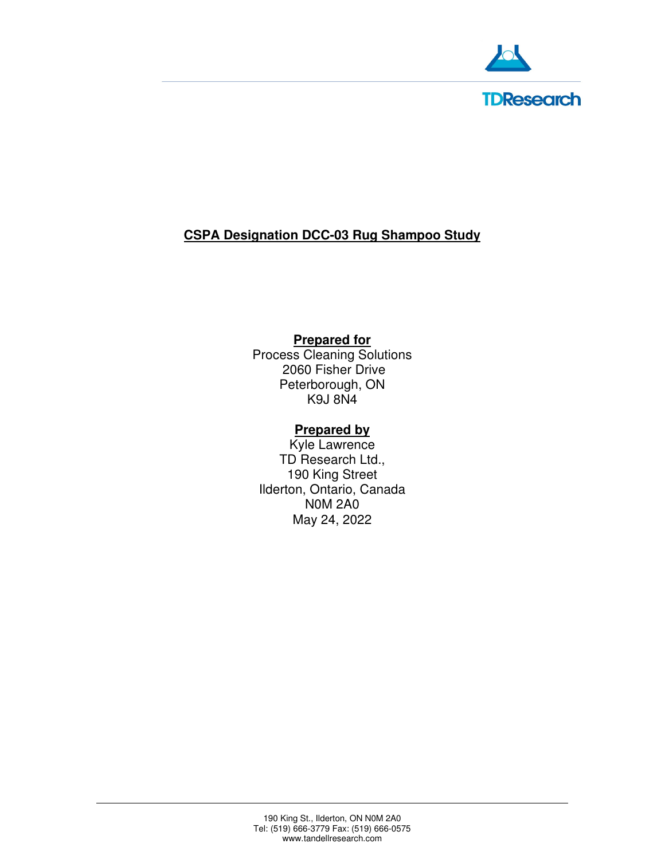

# **CSPA Designation DCC-03 Rug Shampoo Study**

## **Prepared for**

Process Cleaning Solutions 2060 Fisher Drive Peterborough, ON K9J 8N4

### **Prepared by**

Kyle Lawrence TD Research Ltd., 190 King Street Ilderton, Ontario, Canada N0M 2A0 May 24, 2022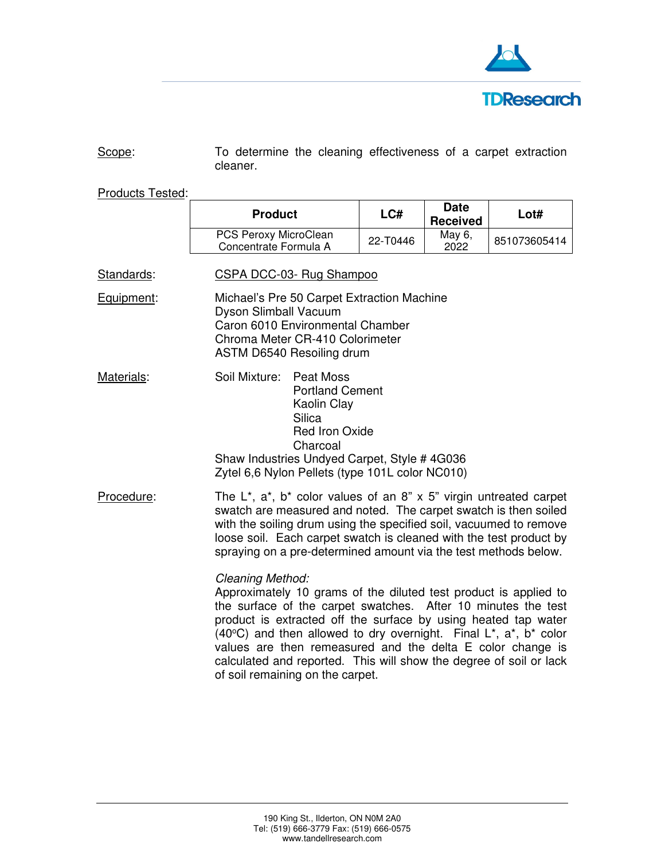

Scope: To determine the cleaning effectiveness of a carpet extraction cleaner.

Products Tested:

|            | <b>Product</b>                                                                                                                                                                                                                                                                                                                                                                                                                                                                                                       | LCH      | <b>Date</b><br><b>Received</b> | Lot#         |  |
|------------|----------------------------------------------------------------------------------------------------------------------------------------------------------------------------------------------------------------------------------------------------------------------------------------------------------------------------------------------------------------------------------------------------------------------------------------------------------------------------------------------------------------------|----------|--------------------------------|--------------|--|
|            | PCS Peroxy MicroClean<br>Concentrate Formula A                                                                                                                                                                                                                                                                                                                                                                                                                                                                       | 22-T0446 | May 6,<br>2022                 | 851073605414 |  |
| Standards: | CSPA DCC-03- Rug Shampoo                                                                                                                                                                                                                                                                                                                                                                                                                                                                                             |          |                                |              |  |
| Equipment: | Michael's Pre 50 Carpet Extraction Machine<br>Dyson Slimball Vacuum<br>Caron 6010 Environmental Chamber<br>Chroma Meter CR-410 Colorimeter<br>ASTM D6540 Resoiling drum                                                                                                                                                                                                                                                                                                                                              |          |                                |              |  |
| Materials: | Soil Mixture:<br>Peat Moss<br><b>Portland Cement</b><br>Kaolin Clay<br><b>Silica</b><br><b>Red Iron Oxide</b><br>Charcoal<br>Shaw Industries Undyed Carpet, Style # 4G036<br>Zytel 6,6 Nylon Pellets (type 101L color NC010)                                                                                                                                                                                                                                                                                         |          |                                |              |  |
| Procedure: | The $L^*$ , $a^*$ , $b^*$ color values of an 8" x 5" virgin untreated carpet<br>swatch are measured and noted. The carpet swatch is then soiled<br>with the soiling drum using the specified soil, vacuumed to remove<br>loose soil. Each carpet swatch is cleaned with the test product by<br>spraying on a pre-determined amount via the test methods below.                                                                                                                                                       |          |                                |              |  |
|            | Cleaning Method:<br>Approximately 10 grams of the diluted test product is applied to<br>the surface of the carpet swatches. After 10 minutes the test<br>product is extracted off the surface by using heated tap water<br>(40 $^{\circ}$ C) and then allowed to dry overnight. Final L <sup>*</sup> , a <sup>*</sup> , b <sup>*</sup> color<br>values are then remeasured and the delta E color change is<br>calculated and reported. This will show the degree of soil or lack<br>of soil remaining on the carpet. |          |                                |              |  |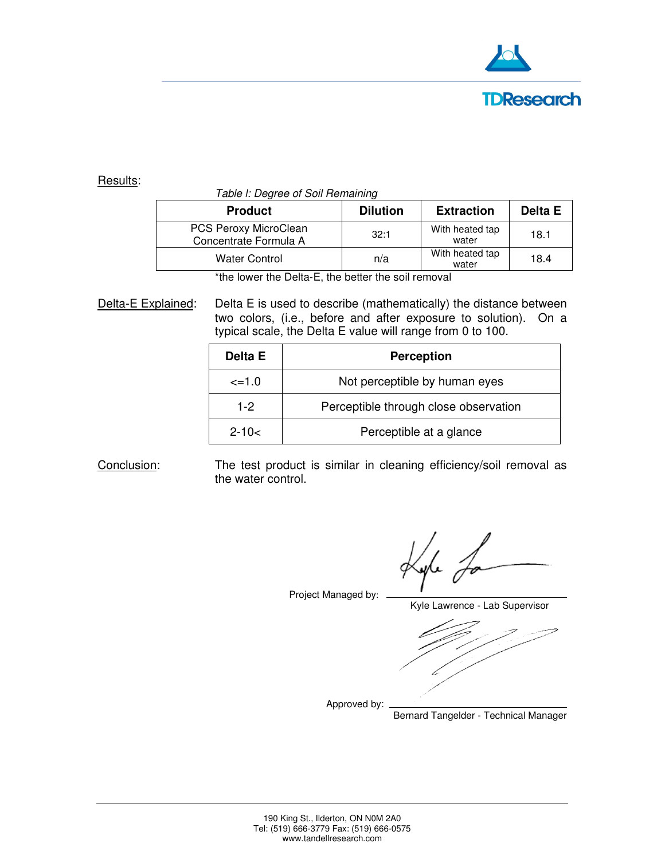

#### Results:

#### Table l: Degree of Soil Remaining

| <b>Product</b>                                 | <b>Dilution</b> | <b>Extraction</b>        | Delta E |
|------------------------------------------------|-----------------|--------------------------|---------|
| PCS Peroxy MicroClean<br>Concentrate Formula A | 32:1            | With heated tap<br>water | 18.1    |
| <b>Water Control</b>                           | n/a             | With heated tap<br>water | 18.4    |

\*the lower the Delta-E, the better the soil removal

Delta-E Explained: Delta E is used to describe (mathematically) the distance between two colors, (i.e., before and after exposure to solution). On a typical scale, the Delta E value will range from 0 to 100.

| Delta E      | <b>Perception</b>                     |  |
|--------------|---------------------------------------|--|
| $\leq$ = 1.0 | Not perceptible by human eyes         |  |
| $1-2$        | Perceptible through close observation |  |
| $2 - 10 <$   | Perceptible at a glance               |  |

Conclusion: The test product is similar in cleaning efficiency/soil removal as the water control.

Project Managed by:

Kyle Lawrence - Lab Supervisor

Approved by:

Bernard Tangelder - Technical Manager